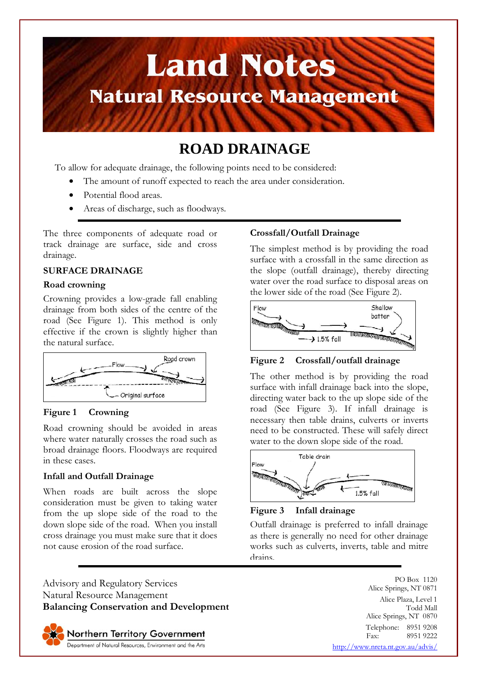

# **ROAD DRAINAGE**

To allow for adequate drainage, the following points need to be considered:

- The amount of runoff expected to reach the area under consideration.
- Potential flood areas.
- Areas of discharge, such as floodways.

The three components of adequate road or track drainage are surface, side and cross drainage.

### **SURFACE DRAINAGE**

### **Road crowning**

Crowning provides a low-grade fall enabling drainage from both sides of the centre of the road (See Figure 1). This method is only effective if the crown is slightly higher than the natural surface.



### **Figure 1 Crowning**

Road crowning should be avoided in areas where water naturally crosses the road such as broad drainage floors. Floodways are required in these cases.

### **Infall and Outfall Drainage**

When roads are built across the slope consideration must be given to taking water from the up slope side of the road to the down slope side of the road. When you install cross drainage you must make sure that it does not cause erosion of the road surface.

Advisory and Regulatory Services Natural Resource Management **Balancing Conservation and Development**



### **Crossfall/Outfall Drainage**

The simplest method is by providing the road surface with a crossfall in the same direction as the slope (outfall drainage), thereby directing water over the road surface to disposal areas on the lower side of the road (See Figure 2).



### **Figure 2 Crossfall/outfall drainage**

The other method is by providing the road surface with infall drainage back into the slope, directing water back to the up slope side of the road (See Figure 3). If infall drainage is necessary then table drains, culverts or inverts need to be constructed. These will safely direct water to the down slope side of the road.





Outfall drainage is preferred to infall drainage as there is generally no need for other drainage works such as culverts, inverts, table and mitre drains.

> PO Box 1120 Alice Springs, NT 0871 Alice Plaza, Level 1 Todd Mall Alice Springs, NT 0870 Telephone: 8951 9208<br>Fax: 8951 9222 8951 9222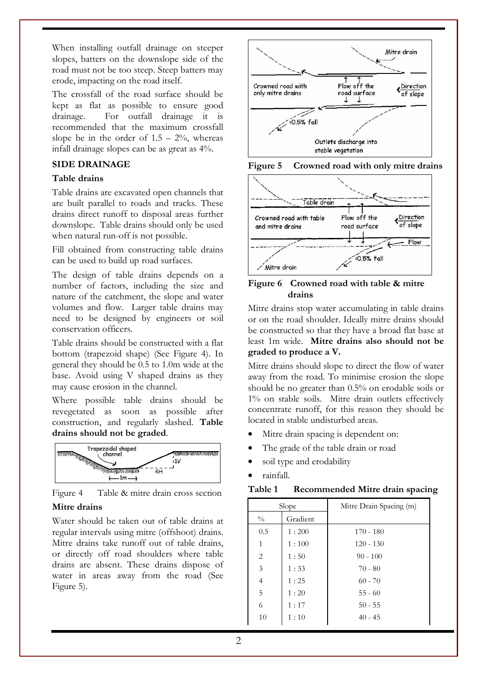When installing outfall drainage on steeper slopes, batters on the downslope side of the road must not be too steep. Steep batters may erode, impacting on the road itself.

The crossfall of the road surface should be kept as flat as possible to ensure good drainage. For outfall drainage it is recommended that the maximum crossfall slope be in the order of  $1.5 - 2\%$ , whereas infall drainage slopes can be as great as 4%.

# **SIDE DRAINAGE**

## **Table drains**

Table drains are excavated open channels that are built parallel to roads and tracks. These drains direct runoff to disposal areas further downslope. Table drains should only be used when natural run-off is not possible.

Fill obtained from constructing table drains can be used to build up road surfaces.

The design of table drains depends on a number of factors, including the size and nature of the catchment, the slope and water volumes and flow. Larger table drains may need to be designed by engineers or soil conservation officers.

Table drains should be constructed with a flat bottom (trapezoid shape) (See Figure 4). In general they should be 0.5 to 1.0m wide at the base. Avoid using V shaped drains as they may cause erosion in the channel.

Where possible table drains should be revegetated as soon as possible after construction, and regularly slashed. **Table drains should not be graded**.



Figure 4 Table & mitre drain cross section **Mitre drains** 

Water should be taken out of table drains at regular intervals using mitre (offshoot) drains. Mitre drains take runoff out of table drains, or directly off road shoulders where table drains are absent. These drains dispose of water in areas away from the road (See Figure 5).







**Figure 6 Crowned road with table & mitre drains** 

Mitre drains stop water accumulating in table drains or on the road shoulder. Ideally mitre drains should be constructed so that they have a broad flat base at least 1m wide. **Mitre drains also should not be graded to produce a V.**

Mitre drains should slope to direct the flow of water away from the road. To minimise erosion the slope should be no greater than 0.5% on erodable soils or 1% on stable soils. Mitre drain outlets effectively concentrate runoff, for this reason they should be located in stable undisturbed areas.

- Mitre drain spacing is dependent on:
- The grade of the table drain or road
- soil type and erodability
- rainfall.

| Slope          |          | Mitre Drain Spacing (m) |
|----------------|----------|-------------------------|
| $\frac{0}{0}$  | Gradient |                         |
| 0.5            | 1:200    | $170 - 180$             |
| 1              | 1:100    | $120 - 130$             |
| 2              | 1:50     | $90 - 100$              |
| 3              | 1:33     | $70 - 80$               |
| $\overline{4}$ | 1:25     | $60 - 70$               |
| 5              | 1:20     | $55 - 60$               |
| 6              | 1:17     | $50 - 55$               |
| 10             | 1:10     | $40 - 45$               |

**Table 1 Recommended Mitre drain spacing**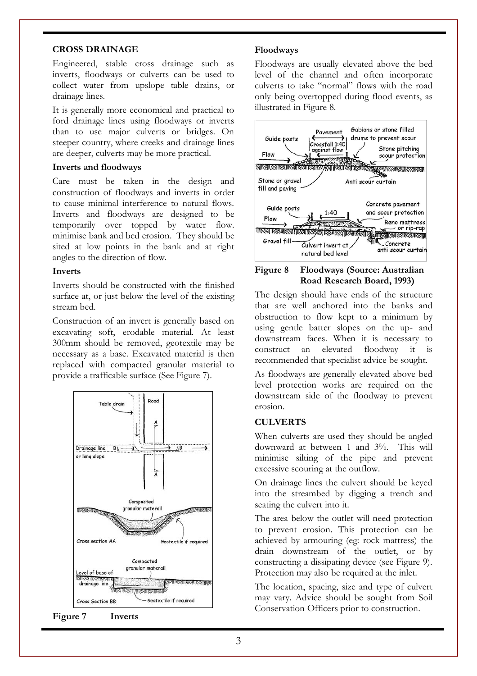### **CROSS DRAINAGE**

Engineered, stable cross drainage such as inverts, floodways or culverts can be used to collect water from upslope table drains, or drainage lines.

It is generally more economical and practical to ford drainage lines using floodways or inverts than to use major culverts or bridges. On steeper country, where creeks and drainage lines are deeper, culverts may be more practical.

### **Inverts and floodways**

Care must be taken in the design and construction of floodways and inverts in order to cause minimal interference to natural flows. Inverts and floodways are designed to be temporarily over topped by water flow. minimise bank and bed erosion. They should be sited at low points in the bank and at right angles to the direction of flow.

### **Inverts**

Inverts should be constructed with the finished surface at, or just below the level of the existing stream bed.

Construction of an invert is generally based on excavating soft, erodable material. At least 300mm should be removed, geotextile may be necessary as a base. Excavated material is then replaced with compacted granular material to provide a trafficable surface (See Figure 7).



**Figure 7 Inverts** 

### **Floodways**

Floodways are usually elevated above the bed level of the channel and often incorporate culverts to take "normal" flows with the road only being overtopped during flood events, as illustrated in Figure 8.



**Figure 8 Floodways (Source: Australian Road Research Board, 1993)** 

The design should have ends of the structure that are well anchored into the banks and obstruction to flow kept to a minimum by using gentle batter slopes on the up- and downstream faces. When it is necessary to construct an elevated floodway it is recommended that specialist advice be sought.

As floodways are generally elevated above bed level protection works are required on the downstream side of the floodway to prevent erosion.

### **CULVERTS**

When culverts are used they should be angled downward at between 1 and 3%. This will minimise silting of the pipe and prevent excessive scouring at the outflow.

On drainage lines the culvert should be keyed into the streambed by digging a trench and seating the culvert into it.

The area below the outlet will need protection to prevent erosion. This protection can be achieved by armouring (eg: rock mattress) the drain downstream of the outlet, or by constructing a dissipating device (see Figure 9). Protection may also be required at the inlet.

The location, spacing, size and type of culvert may vary. Advice should be sought from Soil Conservation Officers prior to construction.